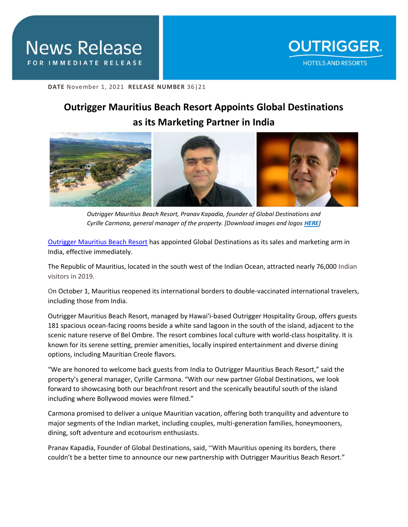

**DATE** November 1, 2021 **RELEASE NUMBER** 36|21

## **Outrigger Mauritius Beach Resort Appoints Global Destinations as its Marketing Partner in India**



*Outrigger Mauritius Beach Resort, Pranav Kapadia, founder of Global Destinations and Cyrille Carmona, general manager of the property. [Download images and logos [HERE](https://drive.google.com/drive/folders/189yJ72HKMyH6y8YLEsnIwP32UsV1e9h-?usp=sharing)]*

[Outrigger Mauritius Beach Resort](https://www.outrigger.com/hotels-resorts/island-of-mauritius) has appointed Global Destinations as its sales and marketing arm in India, effective immediately.

The Republic of Mauritius, located in the south west of the Indian Ocean, attracted nearly 76,000 Indian visitors in 2019.

On October 1, Mauritius reopened its international borders to double-vaccinated international travelers, including those from India.

Outrigger Mauritius Beach Resort, managed by Hawai'i-based Outrigger Hospitality Group, offers guests 181 spacious ocean-facing rooms beside a white sand lagoon in the south of the island, adjacent to the scenic nature reserve of Bel Ombre. The resort combines local culture with world-class hospitality. It is known for its serene setting, premier amenities, locally inspired entertainment and diverse dining options, including Mauritian Creole flavors.

"We are honored to welcome back guests from India to Outrigger Mauritius Beach Resort," said the property's general manager, Cyrille Carmona. "With our new partner Global Destinations, we look forward to showcasing both our beachfront resort and the scenically beautiful south of the island including where Bollywood movies were filmed."

Carmona promised to deliver a unique Mauritian vacation, offering both tranquility and adventure to major segments of the Indian market, including couples, multi-generation families, honeymooners, dining, soft adventure and ecotourism enthusiasts.

Pranav Kapadia, Founder of Global Destinations, said, "With Mauritius opening its borders, there couldn't be a better time to announce our new partnership with Outrigger Mauritius Beach Resort."